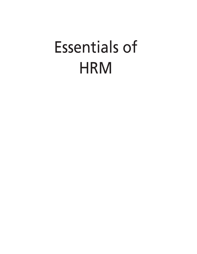# Essentials of **HRM**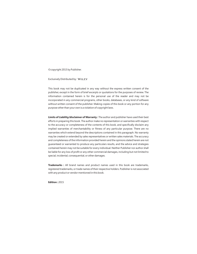©copyright 2015 by Publisher.

Exclusively Distributed by:

This book may not be duplicated in any way without the express written consent of the publisher, except in the form of brief excerpts or quotations for the purposes of review. The information contained herein is for the personal use of the reader and may not be incorporated in any commercial programs, other books, databases, or any kind of software without written consent of the publisher. Making copies of this book or any portion for any purpose other than your own is a violation of copyright laws.

**Limits of Liability/disclaimer of Warranty :** The author and publisher have used their best efforts in preparing this book. The author make no representation or warranties with respect to the accuracy or completeness of the contents of this book, and specifically disclaim any implied warranties of merchantability or fitness of any particular purpose. There are no warranties which extend beyond the descriptions contained in this paragraph. No warranty may be created or extended by sales representatives or written sales materials. The accuracy and completeness of the information provided herein and the opinions stated herein are not guaranteed or warranted to produce any particulars results, and the advice and strategies contained herein may not be suitable for every individual. Neither Publisher nor author shall be liable for any loss of profit or any other commercial damages, including but not limited to special, incidental, consequential, or other damages.

**Trademarks :** All brand names and product names used in this book are trademarks, registered trademarks, or trade names of their respective holders. Publisher is not associated with any product or vendor mentioned in this book.

**Edition :** 2015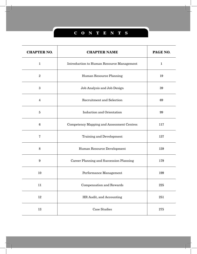# **C ONT E NTS**

| <b>CHAPTER NO.</b> | <b>CHAPTER NAME</b>                              | PAGE NO.     |
|--------------------|--------------------------------------------------|--------------|
| $\mathbf{1}$       | Introduction to Human Resource Management        | $\mathbf{1}$ |
| $\overline{2}$     | Human Resource Planning                          | 19           |
| $\boldsymbol{3}$   | Job Analysis and Job Design                      | 39           |
| $\overline{4}$     | <b>Recruitment and Selection</b>                 | 69           |
| $\mathbf 5$        | <b>Induction and Orientation</b>                 | 99           |
| $6\phantom{1}6$    | <b>Competency Mapping and Assessment Centres</b> | 117          |
| 7                  | <b>Training and Development</b>                  | 137          |
| 8                  | Human Resource Development                       | 159          |
| 9                  | Career Planning and Succession Planning          | 179          |
| 10                 | Performance Management                           | 199          |
| 11                 | Compensation and Rewards                         | 225          |
| 12                 | HR Audit, and Accounting                         | 251          |
| 13                 | <b>Case Studies</b>                              | $\bf 275$    |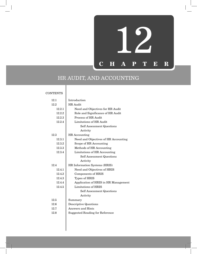

# HR AUDIT, AND ACCOUNTING

**CONTENTS** 

| 12.1   | Introduction                         |  |  |
|--------|--------------------------------------|--|--|
|        |                                      |  |  |
| 12.2   | <b>HR</b> Audit                      |  |  |
| 12.2.1 | Need and Objectives for HR Audit     |  |  |
| 12.2.2 | Role and Significance of HR Audit    |  |  |
| 12.2.3 | Process of HR Audit                  |  |  |
| 12.2.4 | Limitations of HR Audit              |  |  |
|        | <b>Self Assessment Questions</b>     |  |  |
|        | Activity                             |  |  |
| 12.3   | HR Accounting                        |  |  |
| 12.3.1 | Need and Objectives of HR Accounting |  |  |
| 12.3.2 | Scope of HR Accounting               |  |  |
| 12.3.3 | Methods of HR Accounting             |  |  |
| 12.3.4 | Limitations of HR Accounting         |  |  |
|        | <b>Self Assessment Questions</b>     |  |  |
|        | Activity                             |  |  |
| 12.4   | HR Information Systems (HRIS)        |  |  |
| 12.4.1 | Need and Objectives of HRIS          |  |  |
| 12.4.2 | Components of HRIS                   |  |  |
| 12.4.3 | Types of HRIS                        |  |  |
| 12.4.4 | Application of HRIS in HR Management |  |  |
| 12.4.5 | Limitations of HRIS                  |  |  |
|        | <b>Self Assessment Questions</b>     |  |  |
|        | Activity                             |  |  |
| 12.5   | Summary                              |  |  |
| 12.6   | <b>Descriptive Questions</b>         |  |  |
| 12.7   | Answers and Hints                    |  |  |
| 12.8   | Suggested Reading for Reference      |  |  |
|        |                                      |  |  |
|        |                                      |  |  |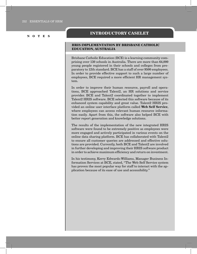## **Introductory Caselet**

#### **HRIS IMPLEMENTATION BY BRISBANE CATHOLIC EDUCATION, AUSTRALIA**

Brisbane Catholic Education (BCE) is a learning community comprising over 130 schools in Australia. There are more than 64,000 young people registered in their schools and colleges from preparatory to 12th standard. BCE has a staff of over 9500 employees. In order to provide effective support to such a large number of employees, BCE required a more efficient HR management system.

In order to improve their human resource, payroll and operations, BCE approached Talent2, an HR solutions and service provider. BCE and Talent2 coordinated together to implement Talent2 HRIS software. BCE selected this software because of its enhanced system capability and great value. Talent2 HRIS provided an online user interface platform called **Web Self Service**, where employees can access relevant human resource information easily. Apart from this, the software also helped BCE with better report generation and knowledge solutions.

The results of the implementation of the new integrated HRIS software were found to be extremely positive as employees were more engaged and actively participated in various events on the online data sharing platform. BCE has collaborated with Talent2 to ensure all customer queries are addressed and effective solutions are provided. Currently, both BCE and Talent2 are involved in further developing and improving their HRIS software product in order to achieve maximum efficiency and return on investment.

In his testimony, Kerry Edwards-Williams, Manager Business Information Services at BCE, stated, "The Web Self Service system has proven the most popular way for staff to interact with the application because of its ease of use and accessibility."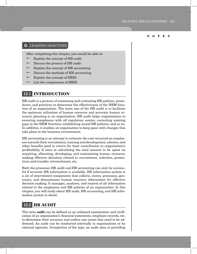#### *C* LEARNING OBJECTIVES

After completing this chapter, you would be able to:

- $\blacktriangleright$  Explain the concept of HR audit
- $\blacktriangleright$  Discuss the process of HR audit
- Explain the concept of HR accounting
- $\blacktriangleright$  Discuss the methods of HR accounting
- $\equiv$  Explain the concept of HRIS
- List the components of HRIS

# **12.1 Introduction**

HR audit is a process of examining and evaluating HR policies, procedures, and practices to determine the effectiveness of the HRM function of an organisation. The main aim of the HR audit is to facilitate the optimum utilisation of human resource and accurate human resource planning in an organisation. HR audit helps organisations in ensuring compliance with all regulatory norms; correcting existing gaps in the HRM function; establishing sound HR policies; and so on. In addition, it enables an organisation to keep pace with changes that take place in the business environment.

HR accounting is an attempt to estimate the cost incurred on employees towards their recruitment, training and development, salaries, and other benefits paid in return for their contribution to organisation's profitability. It aims at calculating the total amount to be spent on acquiring, allocating, developing, and maintaining human resource; making effective decisions related to recruitment, selection, promotions and transfer, retrenchment, etc.

Both the processes HR audit and HR accounting can only be successful if accurate HR information is available. HR information system is a set of interrelated components that collects, stores, processes, generates, and disseminates human resource information for effective decision making. It manages, analyses, and reports of all information related to the employees and HR policies of an organisation. In this chapter, you will study about HR audit, HR accounting, and HR information system in detail.

# **12.2 HR AUDIT**

The term **audit** can be defined as an unbiased examination and verification of an organisation's financial statements, employee records, etc. to determine their accuracy and outline any issues that need to be addressed. An audit can be conducted internally in organisations or by external agencies. Irrespective of the type, an audit aims at providing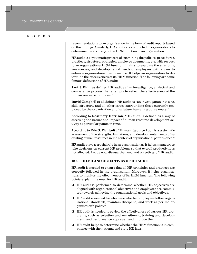recommendations to an organisation in the form of audit reports based on the findings. Similarly, HR audits are conducted in organisations to determine the accuracy of the HRM function of an organisation.

HR audit is a systematic process of examining the policies, procedures, practices, structure, strategies, employee documents, etc. with respect to an organisation's HRM function. It aims to evaluate the strengths, weaknesses, and developmental needs of employees with a view to enhance organisational performance. It helps an organisation to determine the effectiveness of its HRM function. The following are some famous definitions of HR audit:

**Jack J. Phillips** defined HR audit as "an investigative, analytical and comparative process that attempts to reflect the effectiveness of the human resource functions."

**David Campbell et al.** defined HR audit as "an investigation into size, skill, structure, and all other issues surrounding those currently employed by the organisation and its future human resource needs."

According to **Rosemary Harrison**, "HR audit is defined as a way of assessing the nature and impact of human resource development activity at particular points in time."

According to **Eric G. Flamboltz**, "Human Resource Audit is a systematic assessment of the strengths, limitations, and developmental needs of its existing human resources in the context of organisational performance."

HR audit plays a crucial role in an organisation as it helps managers to take decisions on current HR problems so that overall productivity is not affected. Let us now discuss the need and objectives of HR audit.

#### **12.2.1 NEED AND OBJECTIVES OF HR AUDIT**

HR audit is needed to ensure that all HR principles and practices are correctly followed in the organisation. Moreover, it helps organisations to monitor the effectiveness of its HRM function. The following points explain the need for HR audit:

- □ HR audit is performed to determine whether HR objectives are aligned with organisational objectives and employees are committed towards achieving the organisational goals and objectives.
- HR audit is needed to determine whether employees follow organisational standards, maintain discipline, and work as per the organisation's policies.
- HR audit is needed to review the effectiveness of various HR programs, such as selection and recruitment, training and development, and performance appraisal, and improve them.
- $\Box$  HR audit helps to determine whether the HRM function is in compliance with the national and state HR laws.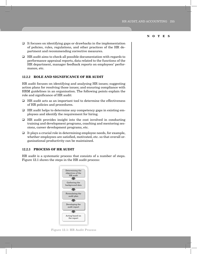- $\Box$  It focuses on identifying gaps or drawbacks in the implementation of policies, rules, regulations, and other practices of the HR department and recommending corrective measures.
- $\Box$  HR audit aims to check all possible documentation with regards to performance appraisal reports, data related to the functions of the HR department, manager feedback reports on employees' performance, etc.

#### **12.2.2 ROLE AND SIGNIFICANCE OF HR AUDIT**

HR audit focuses on identifying and analysing HR issues; suggesting action plans for resolving those issues; and ensuring compliance with HRM guidelines in an organisation. The following points explain the role and significance of HR audit:

- $\Box$  HR audit acts as an important tool to determine the effectiveness of HR policies and procedures.
- $\Box$  HR audit helps to determine any competency gaps in existing employees and identify the requirement for hiring.
- $\Box$  HR audit provides insight into the cost involved in conducting training and development programs, coaching and mentoring sessions, career development programs, etc.
- $\Box$  It plays a crucial role in determining employee needs, for example, whether employees are satisfied, motivated, etc. so that overall organisational productivity can be maintained.

#### **12.2.3 PROCESS OF HR AUDIT**

HR audit is a systematic process that consists of a number of steps. Figure 12.1 shows the steps in the HR audit process:



Figure 12.1: HR Audit Process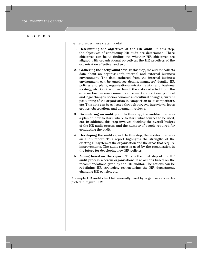Let us discuss these steps in detail.

- 1. **Determining the objectives of the HR audit:** In this step, the objectives of conducting HR audit are determined. These objectives can be to finding out whether HR objectives are aligned with organisational objectives; the HR practices of the organisation effective; and so on.
- 2. **Gathering the background data:** In this step, the auditor collects data about an organisation's internal and external business environment. The data gathered from the internal business environment can be employee details, managers' details, HR policies and plans, organisation's mission, vision and business strategy, etc. On the other hand, the data collected from the external business environment can be market conditions, political and legal changes, socio-economic and cultural changes, current positioning of the organisation in comparison to its competitors, etc. This data can be collected through surveys, interviews, focus groups, observations and document reviews.
- 3. **Formulating an audit plan:** In this step, the auditor prepares a plan on how to start, where to start, what sources to be used, etc. In addition, this step involves deciding the overall budget of the HR audit process and the number of people required for conducting the audit.
- 4. **Developing the audit report:** In this step, the auditor prepares an audit report. This report highlights the strengths of the existing HR system of the organisation and the areas that require improvements. The audit report is used by the organisation in the future for developing new HR policies.
- 5. **Acting based on the report:** This is the final step of the HR audit process wherein organisations take actions based on the recommendations given by the HR auditor. The actions can be redefining HR strategies, restructuring the HR department, changing HR policies, etc.

A sample HR audit checklist generally used by organisations is depicted in Figure 12.2: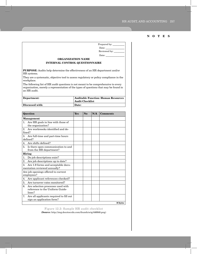|                                                                      |     |     | Date: the contract of the contract of the contract of the contract of the contract of the contract of the contract of the contract of the contract of the contract of the contract of the contract of the contract of the cont                                                                                                                                                                                                  |  |
|----------------------------------------------------------------------|-----|-----|---------------------------------------------------------------------------------------------------------------------------------------------------------------------------------------------------------------------------------------------------------------------------------------------------------------------------------------------------------------------------------------------------------------------------------|--|
|                                                                      |     |     | Reviewed by: ________                                                                                                                                                                                                                                                                                                                                                                                                           |  |
|                                                                      |     |     | Date: $\frac{1}{\sqrt{1-\frac{1}{2}}\left(1-\frac{1}{2}\right)}$                                                                                                                                                                                                                                                                                                                                                                |  |
|                                                                      |     |     |                                                                                                                                                                                                                                                                                                                                                                                                                                 |  |
|                                                                      |     |     |                                                                                                                                                                                                                                                                                                                                                                                                                                 |  |
|                                                                      |     |     |                                                                                                                                                                                                                                                                                                                                                                                                                                 |  |
|                                                                      |     |     |                                                                                                                                                                                                                                                                                                                                                                                                                                 |  |
|                                                                      |     |     |                                                                                                                                                                                                                                                                                                                                                                                                                                 |  |
| <b>Auditable Function: Human Resources</b><br><b>Audit Checklist</b> |     |     |                                                                                                                                                                                                                                                                                                                                                                                                                                 |  |
| Date:                                                                |     |     |                                                                                                                                                                                                                                                                                                                                                                                                                                 |  |
|                                                                      |     |     |                                                                                                                                                                                                                                                                                                                                                                                                                                 |  |
| <b>Yes</b>                                                           | No. | N/A | <b>Comments</b>                                                                                                                                                                                                                                                                                                                                                                                                                 |  |
|                                                                      |     |     |                                                                                                                                                                                                                                                                                                                                                                                                                                 |  |
|                                                                      |     |     |                                                                                                                                                                                                                                                                                                                                                                                                                                 |  |
|                                                                      |     |     |                                                                                                                                                                                                                                                                                                                                                                                                                                 |  |
|                                                                      |     |     |                                                                                                                                                                                                                                                                                                                                                                                                                                 |  |
|                                                                      |     |     |                                                                                                                                                                                                                                                                                                                                                                                                                                 |  |
|                                                                      |     |     |                                                                                                                                                                                                                                                                                                                                                                                                                                 |  |
|                                                                      |     |     |                                                                                                                                                                                                                                                                                                                                                                                                                                 |  |
|                                                                      |     |     |                                                                                                                                                                                                                                                                                                                                                                                                                                 |  |
|                                                                      |     |     |                                                                                                                                                                                                                                                                                                                                                                                                                                 |  |
|                                                                      |     |     |                                                                                                                                                                                                                                                                                                                                                                                                                                 |  |
|                                                                      |     |     |                                                                                                                                                                                                                                                                                                                                                                                                                                 |  |
|                                                                      |     |     |                                                                                                                                                                                                                                                                                                                                                                                                                                 |  |
|                                                                      |     |     |                                                                                                                                                                                                                                                                                                                                                                                                                                 |  |
|                                                                      |     |     |                                                                                                                                                                                                                                                                                                                                                                                                                                 |  |
|                                                                      |     |     | <b>ORGANIZATION NAME</b><br><b>INTERNAL CONTROL QUESTIONNAIRE</b><br><b>PURPOSE:</b> Audits help determine the effectiveness of an HR department and/or<br>They are a systematic, objective tool to assess regulatory or policy compliance in the<br>The following list of HR audit questions is not meant to be comprehensive to every<br>organization, merely a representation of the types of questions that may be found in |  |

Prepared by:

**ICQ.doc**

Figure 12.2: Sample HR audit checklist **(Source:** http://img.docstoccdn.com/thumb/orig/446840.png)

7. Are all applicants required to fill out sign an application form?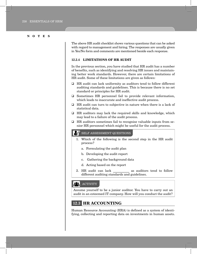The above HR audit checklist shows various questions that can be asked with regard to management and hiring. The responses are usually given in Yes/No form and comments are mentioned beside each response.

#### **12.2.4 LIMITATIONS OF HR AUDIT**

In the previous section, you have studied that HR audit has a number of benefits, such as identifying and resolving HR issues and maintaining better work standards. However, there are certain limitations of HR audit. Some of these limitations are given as follows:

- $\Box$  HR audit can lack uniformity as auditors tend to follow different auditing standards and guidelines. This is because there is no set standard or principles for HR audit.
- Sometimes HR personnel fail to provide relevant information, which leads to inaccurate and ineffective audit process.
- $\Box$  HR audit can turn to subjective in nature when there is a lack of statistical data.
- $\Box$  HR auditors may lack the required skills and knowledge, which may lead to a failure of the audit process.
- $\Box$  HR auditors sometimes fail to recognise valuable inputs from senior HR personnel which might be useful for the audit process.

#### self assessment Questions

- 1. Which of the following is the second step in the HR audit process?
	- a. Formulating the audit plan
	- b. Developing the audit report
	- c. Gathering the background data
	- d. Acting based on the report
- 2. HR audit can lack **the as auditors tend to follow** different auditing standards and guidelines.

#### 23 **ACTIVITY**

Assume yourself to be a junior auditor. You have to carry out an audit in an esteemed IT company. How will you conduct the audit?

# **12.3 HR ACCOUNTING**

Human Resource Accounting (HRA) is defined as a system of identifying, collecting and reporting data on investments in human assets.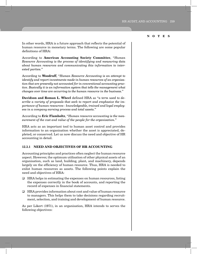In other words, HRA is a future approach that reflects the potential of human resource in monetary terms. The following are some popular definitions of HRA:

According to **American Accounting Society Committee**, "*Human Resource Accounting is the process of identifying and measuring data about human resources and communicating this information to interested parties.*"

According to **Woodruff**, "*Human Resource Accounting is an attempt to identify and report investments made in human resources of an organisation that are presently not accounted for in conventional accounting practice. Basically it is an information system that tells the management what changes over time are occurring to the human resource in the business.*"

**Davidson and Roman L. Wheel** defined HRA as "*a term used to describe a variety of proposals that seek to report and emphasize the importance of human resources - knowledgeable, trained and loyal employees in a company earning process and total assets.*"

According to **Eric Flamholtz**, "*Human resource accounting is the measurement of the cost and value of the people for the organisation.*"

HRA acts as an important tool to human asset control and provides information to an organisation whether the asset is appreciated, depleted, or conserved. Let us now discuss the need and objective of HR accounting in detail.

#### **12.3.1 NEED AND OBJECTIVES OF HR ACCOUNTING**

Accounting principles and practices often neglect the human resource aspect. However, the optimum utilisation of other physical assets of an organisation, such as land, building, plant, and machinery, depends largely on the efficiency of human resource. Thus, HRA is needed to enlist human resources as assets. The following points explain the need and objectives of HRA:

- $\Box$  HRA helps in estimating the expenses on human resources, listing the expenses correctly in the book of accounts, and reporting the record of expenses in financial statements.
- HRA provides information about cost and value of human resource to managers. This helps them to take decisions regarding recruitment, selection, and training and development of human resource.

As per Likert (1971), in an organisation, HRA intends to serves the following objectives: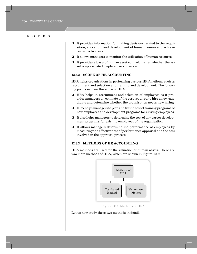- $\Box$  It provides information for making decisions related to the acquisition, allocation, and development of human resource to achieve cost-effectiveness.
- $\Box$  It allows managers to monitor the utilisation of human resource.
- $\Box$  It provides a basis of human asset control, that is, whether the asset is appreciated, depleted, or conserved.

#### **12.3.2 SCOPE OF HR ACCOUNTING**

HRA helps organisations in performing various HR functions, such as recruitment and selection and training and development. The following points explain the scope of HRA:

- HRA helps in recruitment and selection of employees as it provides managers an estimate of the cost required to hire a new candidate and determine whether the organisation needs new hiring.
- $\Box$  HRA helps managers to plan and fix the cost of training programs of new employees and development programs for existing employees.
- $\Box$  It also helps managers to determine the cost of any career development programs for existing employees of the organisation.
- $\Box$  It allows managers determine the performance of employees by measuring the effectiveness of performance appraisal and the cost involved in the appraisal process.

#### **12.3.3 METHODS OF HR ACCOUNTING**

HRA methods are used for the valuation of human assets. There are two main methods of HRA, which are shown in Figure 12.3:



Figure 12.3: Methods of HRA

Let us now study these two methods in detail.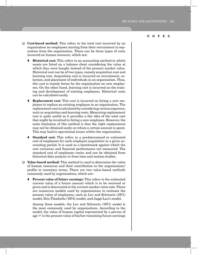- **Cost-based method:** This refers to the total cost incurred by an organisation on employees starting from their recruitment to separation from the organisation. There can be three types of costs incurred on human resource, which are:
	- **Historical cost:** This refers to an accounting method in which assets are listed on a balance sheet considering the value at which they were bought instead of the present market value. Historical cost can be of two types, namely acquisition cost and learning cost. Acquisition cost is incurred on recruitment, selection, and placement of individuals in an organisation. Thus, this cost is mainly borne by the organisation on new employees. On the other hand, learning cost is incurred on the training and development of existing employees. Historical costs can be calculated easily.
	- **Replacement cost:** This cost is incurred on hiring a new employee to replace an existing employee in an organisation. The replacement cost is calculated by considering various expenses, such as acquisition and learning costs. Measuring replacement cost is quite useful as it provides a fair idea of the total cost that might be involved in hiring a new employee. However, the main limitation of this method is that the right replacement may not be obtained easily on whom a certain amount is spent. This may lead to operational issues within the organisation.
	- **Standard cost:** This refers to a predetermined or estimated cost of employees for each employee acquisition in a given accounting period. It is used as a benchmark against which the cost variances and financial performance are measured. The standard cost of employees varies and can be obtained from historical data analysis or from time and motion studies.
- **Value-based method:** This method is used to determine the value of human resources and their contribution to the organisations' profits in monetary terms. There are two value-based methods commonly used by organisations, which are:
	- **Present value of future earnings:** This refers to the estimated current value of a future amount which is to be received or given and is discounted at the current market value rate. There are numerous models used by organisations to estimate the present value of employees, such as Lev and Schwartz (1971) model, Eric Flamholtz (1974) model, and Jaggi-Lau's model.

Among these models, the Lev and Schwartz (1971) model is the most commonly used by organisations. According to the model, the value of human capital represented by a person of age 'r' is the present value of his/her remaining future earnings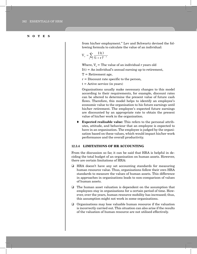from his/her employment." Lev and Schwartz devised the following formula to calculate the value of an individual:

$$
V_r = \sum_{t-r}^{r} \frac{I(t)}{(1+r)^{t-r}}
$$

Where,  $V =$  The value of an individual r years old

 $I(t) = An individual's annual earning up to retirement,$ 

- $T =$  Retirement age,
- $r =$  Discount rate specific to the person,
- $t =$  Active service (in years)

Organisations usually make necessary changes to this model according to their requirements, for example, discount rates can be altered to determine the present value of future cash flows. Therefore, this model helps to identify an employee's economic value to the organisation to his future earnings until his/her retirement. The employee's expected future earnings are discounted by an appropriate rate to obtain the present value of his/her work in the organisation.

 **Expected realisable value:** This refers to the personal attributes, attitude, and behaviour that an employee is expected to have in an organisation. The employee is judged by the organisation based on these values, which would impact his/her work performance and the overall productivity.

#### **12.3.4 LIMITATIONS OF HR ACCOUNTING**

From the discussion so far, it can be said that HRA is helpful in deciding the total budget of an organisation on human assets. However, there are certain limitations of HRA:

- HRA doesn't have any set accounting standards for measuring human resource value. Thus, organisations follow their own HRA standards to measure the values of human assets. This difference in approaches in organisations leads to non-comparison of values of human assets.
- The human asset valuation is dependent on the assumption that employees stay in organisations for a certain period of time. However, over the years, human resource mobility has increased; thus, this assumption might not work in some organisations.
- $\Box$  Organisations may lose valuable human resource if the valuation is incorrectly carried out. This situation can also arise if the results of the valuation of human resource are not utilised effectively.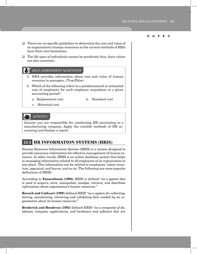- $\Box$  There are no specific guidelines to determine the cost and value of an organisation's human resources as the current methods of HRA have their own limitations.
- $\Box$  The life span of individuals cannot be predicted; thus, their values are also uncertain.

#### self assessment Questions

- 3. HRA provides information about cost and value of human resource to managers. (True/False)
- 4. Which of the following refers to a predetermined or estimated cost of employees for each employee acquisition in a given accounting period?
	- a. Replacement cost b. Standard cost
		-

c. Historical cost

#### **ACTIVITY**

Assume you are responsible for conducting HR accounting in a manufacturing company. Apply the suitable methods of HR accounting and finalise a report.

# **12.4 HR INFORMATION SYSTEMS (HRIS)**

Human Resource Information System (HRIS) is a system designed to provide necessary information for effective management of human resource. In other words, HRIS is an online database system that helps in managing information related to all employees of an organisation at one place. This information can be related to employees' salary structure, appraisal, and leaves, and so on. The following are some popular definitions of HRIS:

According to **Tannenbaum (1990)**, HRIS is defined "*as a system that is used to acquire, store, manipulate, analyse, retrieve, and distribute information about organisation's human resources.*"

**Kovach and Cathcart (1999)** defined HRIS "*as a system for collecting, storing, maintaining, retrieving and validating data needed by an organisation about its human resources.*"

**Broderick and Boudreau (1992)** defined HRIS "*as a composite of databases, computer applications, and hardware and software that are*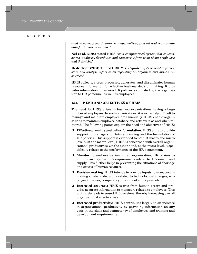*used to collect/record, store, manage, deliver, present and manipulate data for human resources.*"

**Nel et al. (2008)** stated HRIS "*as a computerised system that collects, stores, analyses, distributes and retrieves information about employees and their jobs.*"

**Hedrickson (2003)** defined HRIS "*as integrated systems used to gather, store and analyse information regarding an organisation's human resources.*"

HRIS collects, stores, processes, generates, and disseminates human resource information for effective business decision making. It provides information on various HR policies formulated by the organisation to HR personnel as well as employees.

#### **12.4.1 NEED AND OBJECTIVES OF HRIS**

The need for HRIS arises in business organisations having a large number of employees. In such organisations, it is extremely difficult to manage and maintain employee data manually. HRIS enable organisations to maintain employee database and retrieve it as and when required. The following points explain the need and objectives of HRIS:

- **Effective planning and policy formulation:** HRIS aims to provide support to managers for future planning and the formulation of HR policies. This support is extended to both at macro and micro levels. At the macro level, HRIS is concerned with overall organisational productivity. On the other hand, at the micro level, it specifically relates to the performance of the HR department.
- **Monitoring and evaluation:** In an organisation, HRIS aims to monitor an organisation's requirements related to HR demand and supply. This further helps in preventing the situations of shortage and excess of human resource.
- **Decision making:** HRIS intends to provide inputs to managers in making strategic decisions related to technological changes, employee turnover, competency profiling of employees, etc.
- **Increased accuracy:** HRIS is free from human errors and provides accurate information to managers related to employees. This ultimately leads to sound HR decisions; thereby increasing overall organisational effectiveness.
- **Increased productivity:** HRIS contributes largely to an increase in organisational productivity by providing information on any gaps in the skills and competency of employees and training and development requirements.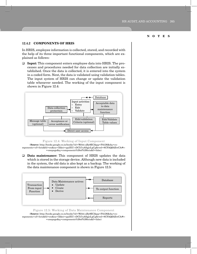#### **12.4.2 COMPONENTS OF HRIS**

In HRIS, employee information is collected, stored, and recorded with the help of its three important functional components, which are explained as follows:

 **Input:** This component enters employee data into HRIS. The processes and procedures needed for data collection are initially established. Once the data is collected, it is entered into the system in a coded form. Next, the data is validated using validation tables. The input system of HRIS can change or update the validation table whenever needed. The working of the input component is shown in Figure 12.4:



#### Figure 12.4: Working of Input Component

(**Source:** http://books.google.co.in/books?id=Webti-aBy8EC&pg=PA126&dq=components+of+hris&hl=en&sa=X&ei=pp3XU-vDCIi7uASgjoLgCg&ved=0CFAQ6AEwCA#v- =onepage&q=components%20of%20hris&f=false)

 **Data maintenance:** This component of HRIS updates the data which is stored in the storage device. Although new data is included in the system, the old data is also kept as a backup. The working of the data maintenance component is shown in Figure 12.5:



#### Figure 12.5: Working of Data Maintenance Component

(**Source:** http://books.google.co.in/books?id=Webti-aBy8EC&pg=PA126&dq=components+of+hris&hl=en&sa=X&ei=pp3XU-vDCIi7uASgjoLgCg&ved=0CFAQ6AEwCA#v- =onepage&q=components%20of%20hris&f=false)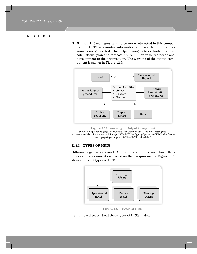**Output:** HR managers tend to be more interested in this component of HRIS as essential information and reports of human resources are generated. This helps managers to evaluate, perform calculations, plan and forecast future human resource needs and development in the organisation. The working of the output component is shown in Figure 12.6:



(**Source:** http://books.google.co.in/books?id=Webti-aBy8EC&pg=PA126&dq=components+of+hris&hl=en&sa=X&ei=pp3XU-vDCIi7uASgjoLgCg&ved=0CFAQ6AEwCA#v- =onepage&q=components%20of%20hris&f=false)

#### **12.4.3 TYPES OF HRIS**

Different organisations use HRIS for different purposes. Thus, HRIS differs across organisations based on their requirements. Figure 12.7 shows different types of HRIS:



Figure 12.7: Types of HRIS

Let us now discuss about these types of HRIS in detail.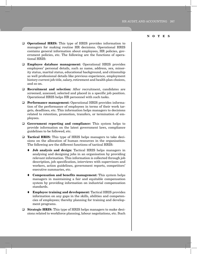- **O Operational HRIS:** This type of HRIS provides information to managers for making routine HR decisions. Operational HRIS contains general information about employees, HR policies, government policies, etc. The following are the functions of operational HRIS:
- **Employee database management:** Operational HRIS provides employees' personal details, such as name, address, sex, minority status, marital status, educational background, and citizenship as well professional details like previous experience, employment history current job title, salary, retirement and health plan choices, and so on.
- **Recruitment and selection:** After recruitment, candidates are screened, assessed, selected and placed in a specific job position. Operational HRIS helps HR personnel with such tasks.
- **Performance management:** Operational HRIS provides information of the performance of employees in terms of their work targets, deadlines, etc. This information helps managers to decisions related to retention, promotion, transfers, or termination of employees.
- **Government reporting and compliance:** This system helps to provide information on the latest government laws, compliance guidelines to be followed, etc.
- **Tactical HRIS:** This type of HRIS helps managers to take decisions on the allocation of human resources in the organisation. The following are the different functions of tactical HRIS:
	- **Job analysis and design:** Tactical HRIS helps managers in analysing and designing jobs in an organisation by providing relevant information. This information is collected through job description, job specification, interviews with supervisors and workers, action guidelines, government reports, competitors' executive summaries, etc.
	- **Compensation and benefits management:** This system helps managers in maintaining a fair and equitable compensation system by providing information on industrial compensation standards.
	- **Employee training and development:** Tactical HRIS provides information on any gaps in the skills, abilities and competencies of employees; thereby planning for training and development programs.
- **Strategic HRIS:** This type of HRIS helps managers to make decisions related to workforce planning, labour negotiations, etc. Such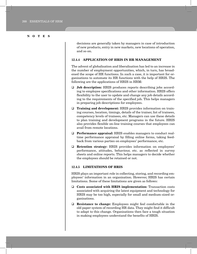decisions are generally taken by managers in case of introduction of new products, entry in new markets, new locations of operation, and so on.

#### **12.4.4 APPLICATION OF HRIS IN HR MANAGEMENT**

The advent of globalisation and liberalisation has led to an increase in the number of employment opportunities, which, in turn, has broadened the scope of HR functions. In such a case, it is important for organisations to automate its HR functions with the help of HRIS. The following are the applications of HRIS in HRM:

- **Job description:** HRIS produces reports describing jobs according to employee specifications and other information. HRIS offers flexibility to the user to update and change any job details according to the requirements of the specified job. This helps managers in preparing job descriptions for employees.
- **Training and development:** HRIS provides information on training courses, location, timings, details of the trainer, list of trainees, competency levels of trainees, etc. Managers can use these details to plan training and development programs in the future. HRIS also provides flexible on-line training courses that employees can avail from remote locations.
- **Performance appraisal:** HRIS enables managers to conduct realtime performance appraisal by filling online forms, taking feedback from various parties on employees' performance, etc.
- **Retention strategy:** HRIS provides information on employees' performance, attitudes, behaviour, etc. as reflected in survey sheets and online reports. This helps managers to decide whether the employees should be retained or not.

#### **12.4.5 LIMITATIONS OF HRIS**

HRIS plays an important role in collecting, storing, and recording employees' information in an organisation. However, HRIS has certain limitations. Some of these limitations are given as follows:

- **Costs associated with HRIS implementation:** Transaction costs associated with acquiring the latest equipment and technology for HRIS may be too high, especially for small and medium-sized organisations.
- **Resistance to change:** Employees might feel comfortable in the old paper system of recording HR data. They might find it difficult to adapt to this change. Organisations then face a tough situation in making employees understand the benefits of HRIS.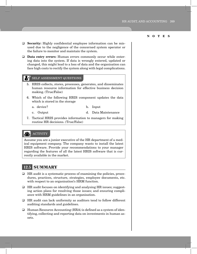- **Security:** Highly confidential employee information can be misused due to the negligence of the concerned system operator or the failure to monitor and maintain the system.
- **Data entry errors:** Human errors commonly occur while entering data into the system. If data is wrongly entered, updated or changed, this might lead to a loss of data and the organisation can face high costs to rectify the system along with legal complications.

#### self assessment Questions

- 5. HRIS collects, stores, processes, generates, and disseminates human resource information for effective business decision making. (True/False)
- 6. Which of the following HRIS component updates the data which is stored in the storage
	- a. device? b. Input
		-
	- c. Output d. Data Maintenance
- 7. Tactical HRIS provides information to managers for making routine HR decisions. (True/False)

#### **23. ACTIVITY**

Assume you are a junior executive of the HR department of a medical equipment company. The company wants to install the latest HRIS software. Provide your recommendations to your manager regarding the features of all the latest HRIS software that is currently available in the market.

# **12.5 SUMMARY**

- $\Box$  HR audit is a systematic process of examining the policies, procedures, practices, structure, strategies, employee documents, etc. with respect to an organisation's HRM function.
- $\Box$  HR audit focuses on identifying and analysing HR issues; suggesting action plans for resolving those issues; and ensuring compliance with HRM guidelines in an organisation.
- HR audit can lack uniformity as auditors tend to follow different auditing standards and guidelines.
- $\Box$  Human Resource Accounting (HRA) is defined as a system of identifying, collecting and reporting data on investments in human assets.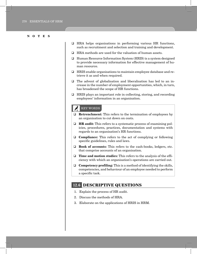- HRA helps organisations in performing various HR functions, such as recruitment and selection and training and development.
- HRA methods are used for the valuation of human assets.
- Human Resource Information System (HRIS) is a system designed to provide necessary information for effective management of human resource.
- HRIS enable organisations to maintain employee database and retrieve it as and when required.
- $\Box$  The advent of globalisation and liberalisation has led to an increase in the number of employment opportunities, which, in turn, has broadened the scope of HR functions.
- □ HRIS plays an important role in collecting, storing, and recording employees' information in an organisation.

## key words

- **Retrenchment:** This refers to the termination of employees by an organisation to cut down on costs.
- **HR audit:** This refers to a systematic process of examining policies, procedures, practices, documentation and systems with regards to an organisation's HR functions.
- **Compliance:** This refers to the act of complying or following specific guidelines, rules and laws.
- **Book of accounts:** This refers to the cash-books, ledgers, etc. that comprise accounts of an organisation.
- **Time and motion studies:** This refers to the analysis of the efficiency with which an organisation's operations are carried out.
- **Competency profiling:** This is a method of identifying the skills, competencies, and behaviour of an employee needed to perform a specific task.

# **12.6 DESCRIPTIVE QUESTIONS**

- 1. Explain the process of HR audit.
- 2. Discuss the methods of HRA.
- 3. Elaborate on the applications of HRIS in HRM.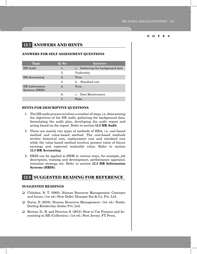# **12.7 ANSWERS and hints**

#### **answers for SELF ASSESSMENT QUESTIONS**

| <b>Topic</b>                     | Q. No | <b>Answers</b>                   |
|----------------------------------|-------|----------------------------------|
| HR Audit                         | 1.    | c. Gathering the background data |
|                                  | 2.    | Uniformity                       |
| HR Accounting                    | 3.    | True                             |
|                                  | 4.    | b. Standard cost                 |
| HR Information<br>Systems (HRIS) | 5.    | True                             |
|                                  | 6.    | c. Data Maintenance              |
|                                  | 7.    | False                            |

#### **hints for DESCRIPTIVE QUESTIONS**

- 1. The HR audit process involves a number of steps, i.e. determining the objectives of the HR audit, gathering the background data, formulating the audit plan, developing the audit report and acting based on the report. Refer to section **12.2 HR Audit**.
- 2. There are mainly two types of methods of HRA, i.e. cost-based method and value-based method. The cost-based methods involve historical cost, replacement cost and standard cost while the value-based method involves present value of future earnings and expected realisable value. Refer to section **12.3 HR Accounting**.
- 3. HRIS can be applied in HRM in various ways, for example, job description, training and development, performance appraisal, retention strategy, etc. Refer to section **12.4 HR Information Systems (HRIS)**.

## **12.8 SUGGESTED READING FOR REFERENCE**

#### **SUGGESTED READINGS**

- Chhabra, N. T. (2005). Human Resource Management: Concepts and Issues. (1st ed.) New Delhi: Dhanpat Rai & Co. Pvt. Ltd.
- Durai, P. (2010). Human Resource Management. (1st ed.) Noida: Dorling Kindersley (India) Pvt. Ltd.
- Biswas, D., B. and Director, S. (2013). How to Use Finance and Accounting in HR (Collection). (1st ed.) New Jersey: FT Press.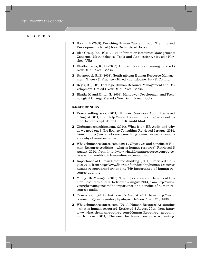- Rao, L., P. (2008). Enriching Human Capital through Training and Development. (1st ed.) New Delhi: Excel Books.
- Idea Group Inc. (IGI) (2010). Information Resources Management: Concepts, Methodologies, Tools and Applications. (1st ed.) Hershey: USA
- Bhattacharya, K., D. (2006). Human Resource Planning. (2nd ed.) New Delhi: Excel Books.
- Swanepoel, S., P. (2008). South African Human Resource Management: Theory & Practice. (4th ed.) Lansdowne: Juta & Co. Ltd.
- Regis, R. (2008). Strategic Human Resource Management and Development. (1st ed.) New Delhi: Excel Books.
- Bhatia, K. and Mittal, S. (2009). Manpower Development and Technological Change. (1st ed.) New Delhi: Excel Books.

#### **E-REFERENCES**

- Dcsconsulting.co.za. (2014). Human Resources Audit. Retrieved 5 August 2014, from http://www.dcsconsulting.co.za/Services/Human Resources/jit default 13.HR Audit.html
- Giobrancoconsulting.com. (2014). What is an HR Audit and why do we need one?|Gio Branco Consulting. Retrieved 5 August 2014, from http://www.giobrancoconsulting.com/what-is-an-hr-auditand-why-do-we-need-one/
- Whatishumanresource.com. (2014). Objectives and benefits of Human Resource Auditing - what is human resource? Retrieved 5 August 2014, from http://www.whatishumanresource.com/objectives-and-benefits-of-Human-Resource-auditing
- □ Importance of Human Resource Auditing. (2014). Retrieved 5 August 2014, from http://www.floorit.info/index.php/human-resource/ humar-resource/understanding/369-importance-of-human-resource-auditing
- Young HR Manager. (2010). The Importance and Benefits of Human Resources Audits. Retrieved 5 August 2014, from http://www. younghrmanager.com/the-importance-and-benefits-of-human-resources-audits
- Ccsenet.org. (2014). Retrieved 5 August 2014, from http://www. ccsenet.org/journal/index.php/ibr/article/viewFile/15370/10433
- Whatishumanresource.com. (2014). Human Resource Accounting - what is human resource? Retrieved 5 August 2014, from http:// www.whatishumanresource.com/Human-Resource--accountingHrlink.in. (2014). The need for human resource accounting.